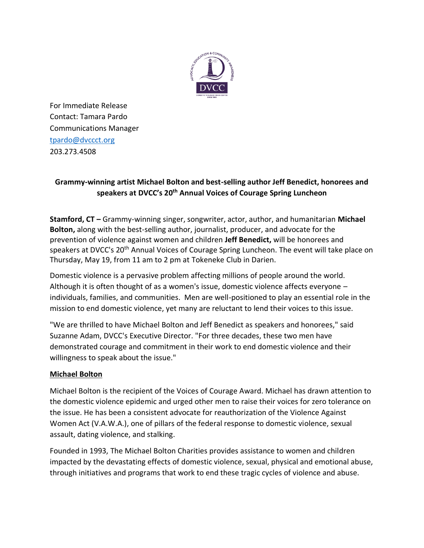

For Immediate Release Contact: Tamara Pardo Communications Manager [tpardo@dvccct.org](mailto:tpardo@dvccct.org) 203.273.4508

# **Grammy-winning artist Michael Bolton and best-selling author Jeff Benedict, honorees and speakers at DVCC's 20th Annual Voices of Courage Spring Luncheon**

**Stamford, CT –** Grammy-winning singer, songwriter, actor, author, and humanitarian **Michael Bolton,** along with the best-selling author, journalist, producer, and advocate for the prevention of violence against women and children **Jeff Benedict,** will be honorees and speakers at DVCC's 20<sup>th</sup> Annual Voices of Courage Spring Luncheon. The event will take place on Thursday, May 19, from 11 am to 2 pm at Tokeneke Club in Darien.

Domestic violence is a pervasive problem affecting millions of people around the world. Although it is often thought of as a women's issue, domestic violence affects everyone – individuals, families, and communities. Men are well-positioned to play an essential role in the mission to end domestic violence, yet many are reluctant to lend their voices to this issue.

"We are thrilled to have Michael Bolton and Jeff Benedict as speakers and honorees," said Suzanne Adam, DVCC's Executive Director. "For three decades, these two men have demonstrated courage and commitment in their work to end domestic violence and their willingness to speak about the issue."

## **Michael Bolton**

Michael Bolton is the recipient of the Voices of Courage Award. Michael has drawn attention to the domestic violence epidemic and urged other men to raise their voices for zero tolerance on the issue. He has been a consistent advocate for reauthorization of the Violence Against Women Act (V.A.W.A.), one of pillars of the federal response to domestic violence, sexual assault, dating violence, and stalking.

Founded in 1993, The Michael Bolton Charities provides assistance to women and children impacted by the devastating effects of domestic violence, sexual, physical and emotional abuse, through initiatives and programs that work to end these tragic cycles of violence and abuse.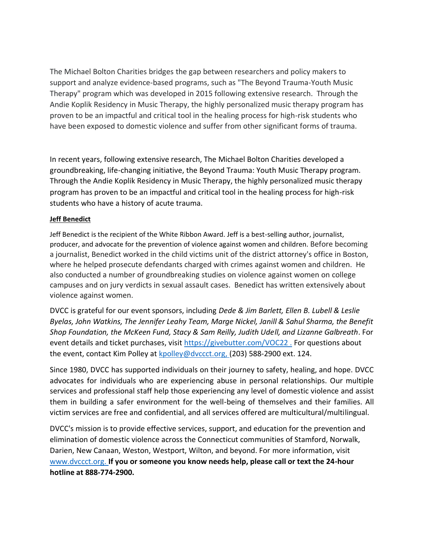The Michael Bolton Charities bridges the gap between researchers and policy makers to support and analyze evidence-based programs, such as "The Beyond Trauma-Youth Music Therapy" program which was developed in 2015 following extensive research. Through the Andie Koplik Residency in Music Therapy, the highly personalized music therapy program has proven to be an impactful and critical tool in the healing process for high-risk students who have been exposed to domestic violence and suffer from other significant forms of trauma.

In recent years, following extensive research, The Michael Bolton Charities developed a groundbreaking, life-changing initiative, the Beyond Trauma: Youth Music Therapy program. Through the Andie Koplik Residency in Music Therapy, the highly personalized music therapy program has proven to be an impactful and critical tool in the healing process for high-risk students who have a history of acute trauma.

### **Jeff Benedict**

Jeff Benedict is the recipient of the White Ribbon Award. Jeff is a best-selling author, journalist, producer, and advocate for the prevention of violence against women and children. Before becoming a journalist, Benedict worked in the child victims unit of the district attorney's office in Boston, where he helped prosecute defendants charged with crimes against women and children. He also conducted a number of groundbreaking studies on violence against women on college campuses and on jury verdicts in sexual assault cases. Benedict has written extensively about violence against women.

DVCC is grateful for our event sponsors, including *Dede & Jim Barlett, Ellen B. Lubell & Leslie Byelas, John Watkins, The Jennifer Leahy Team, Marge Nickel, Janill & Sahul Sharma, the Benefit Shop Foundation, the McKeen Fund, Stacy & Sam Reilly, Judith Udell, and Lizanne Galbreath*. For event details and ticket purchases, visit [http](https://givebutter.com/VOC22)s://givebutter.com/VOC22. For questions about the event, contact Kim Polley at [kpoll](mailto:kpolley@dvccct.org)ey@dvccct.org, (203) 588-2900 ext. 124.

Since 1980, DVCC has supported individuals on their journey to safety, healing, and hope. DVCC advocates for individuals who are experiencing abuse in personal relationships. Our multiple services and professional staff help those experiencing any level of domestic violence and assist them in building a safer environment for the well-being of themselves and their families. All victim services are free and confidential, and all services offered are multicultural/multilingual.

DVCC's mission is to provide effective services, support, and education for the prevention and elimination of domestic violence across the Connecticut communities of Stamford, Norwalk, Darien, New Canaan, Weston, Westport, Wilton, and beyond. For more information, visit [www](http://www.dvccct.org/).dvccct.org. **If you or someone you know needs help, please call or text the 24-hour hotline at 888-774-2900.**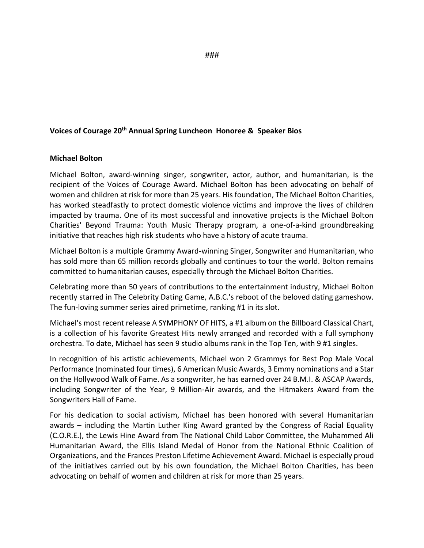#### **Voices of Courage 20th Annual Spring Luncheon Honoree & Speaker Bios**

#### **Michael Bolton**

Michael Bolton, award-winning singer, songwriter, actor, author, and humanitarian, is the recipient of the Voices of Courage Award. Michael Bolton has been advocating on behalf of women and children at risk for more than 25 years. His foundation, The Michael Bolton Charities, has worked steadfastly to protect domestic violence victims and improve the lives of children impacted by trauma. One of its most successful and innovative projects is the Michael Bolton Charities' Beyond Trauma: Youth Music Therapy program, a one-of-a-kind groundbreaking initiative that reaches high risk students who have a history of acute trauma.

Michael Bolton is a multiple Grammy Award-winning Singer, Songwriter and Humanitarian, who has sold more than 65 million records globally and continues to tour the world. Bolton remains committed to humanitarian causes, especially through the Michael Bolton Charities.

Celebrating more than 50 years of contributions to the entertainment industry, Michael Bolton recently starred in The Celebrity Dating Game, A.B.C.'s reboot of the beloved dating gameshow. The fun-loving summer series aired primetime, ranking #1 in its slot.

Michael's most recent release A SYMPHONY OF HITS, a #1 album on the Billboard Classical Chart, is a collection of his favorite Greatest Hits newly arranged and recorded with a full symphony orchestra. To date, Michael has seen 9 studio albums rank in the Top Ten, with 9 #1 singles.

In recognition of his artistic achievements, Michael won 2 Grammys for Best Pop Male Vocal Performance (nominated four times), 6 American Music Awards, 3 Emmy nominations and a Star on the Hollywood Walk of Fame. As a songwriter, he has earned over 24 B.M.I. & ASCAP Awards, including Songwriter of the Year, 9 Million-Air awards, and the Hitmakers Award from the Songwriters Hall of Fame.

For his dedication to social activism, Michael has been honored with several Humanitarian awards – including the Martin Luther King Award granted by the Congress of Racial Equality (C.O.R.E.), the Lewis Hine Award from The National Child Labor Committee, the Muhammed Ali Humanitarian Award, the Ellis Island Medal of Honor from the National Ethnic Coalition of Organizations, and the Frances Preston Lifetime Achievement Award. Michael is especially proud of the initiatives carried out by his own foundation, the Michael Bolton Charities, has been advocating on behalf of women and children at risk for more than 25 years.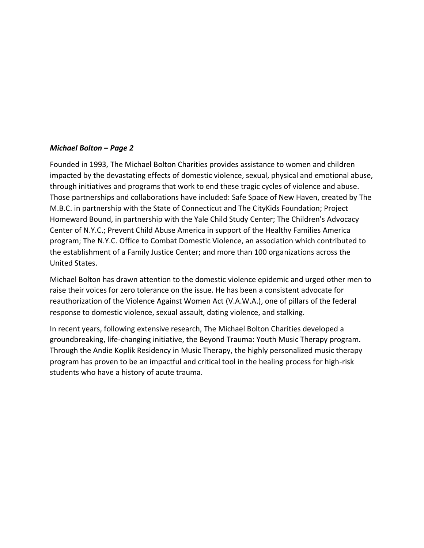### *Michael Bolton – Page 2*

Founded in 1993, The Michael Bolton Charities provides assistance to women and children impacted by the devastating effects of domestic violence, sexual, physical and emotional abuse, through initiatives and programs that work to end these tragic cycles of violence and abuse. Those partnerships and collaborations have included: Safe Space of New Haven, created by The M.B.C. in partnership with the State of Connecticut and The CityKids Foundation; Project Homeward Bound, in partnership with the Yale Child Study Center; The Children's Advocacy Center of N.Y.C.; Prevent Child Abuse America in support of the Healthy Families America program; The N.Y.C. Office to Combat Domestic Violence, an association which contributed to the establishment of a Family Justice Center; and more than 100 organizations across the United States.

Michael Bolton has drawn attention to the domestic violence epidemic and urged other men to raise their voices for zero tolerance on the issue. He has been a consistent advocate for reauthorization of the Violence Against Women Act (V.A.W.A.), one of pillars of the federal response to domestic violence, sexual assault, dating violence, and stalking.

In recent years, following extensive research, The Michael Bolton Charities developed a groundbreaking, life-changing initiative, the Beyond Trauma: Youth Music Therapy program. Through the Andie Koplik Residency in Music Therapy, the highly personalized music therapy program has proven to be an impactful and critical tool in the healing process for high-risk students who have a history of acute trauma.